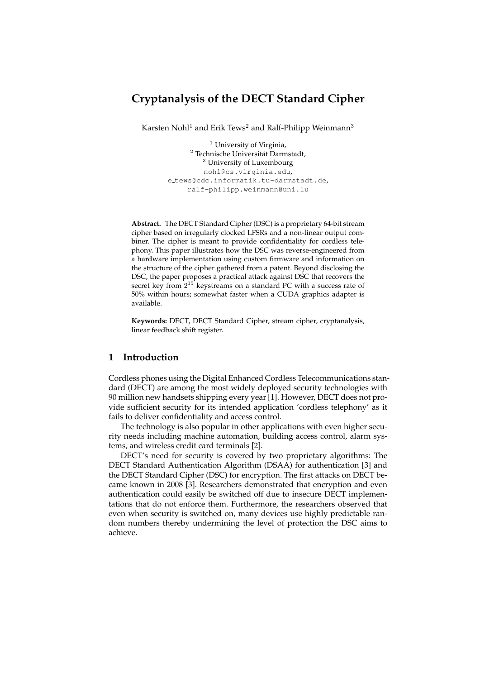# **Cryptanalysis of the DECT Standard Cipher**

Karsten Nohl<sup>1</sup> and Erik Tews<sup>2</sup> and Ralf-Philipp Weinmann<sup>3</sup>

 $1$  University of Virginia,  $^{\rm 2}$  Technische Universität Darmstadt, <sup>3</sup> University of Luxembourg nohl@cs.virginia.edu, e tews@cdc.informatik.tu-darmstadt.de, ralf-philipp.weinmann@uni.lu

**Abstract.** The DECT Standard Cipher (DSC) is a proprietary 64-bit stream cipher based on irregularly clocked LFSRs and a non-linear output combiner. The cipher is meant to provide confidentiality for cordless telephony. This paper illustrates how the DSC was reverse-engineered from a hardware implementation using custom firmware and information on the structure of the cipher gathered from a patent. Beyond disclosing the DSC, the paper proposes a practical attack against DSC that recovers the secret key from  $2^{15}$  keystreams on a standard PC with a success rate of 50% within hours; somewhat faster when a CUDA graphics adapter is available.

**Keywords:** DECT, DECT Standard Cipher, stream cipher, cryptanalysis, linear feedback shift register.

### **1 Introduction**

Cordless phones using the Digital Enhanced Cordless Telecommunications standard (DECT) are among the most widely deployed security technologies with 90 million new handsets shipping every year [1]. However, DECT does not provide sufficient security for its intended application 'cordless telephony' as it fails to deliver confidentiality and access control.

The technology is also popular in other applications with even higher security needs including machine automation, building access control, alarm systems, and wireless credit card terminals [2].

DECT's need for security is covered by two proprietary algorithms: The DECT Standard Authentication Algorithm (DSAA) for authentication [3] and the DECT Standard Cipher (DSC) for encryption. The first attacks on DECT became known in 2008 [3]. Researchers demonstrated that encryption and even authentication could easily be switched off due to insecure DECT implementations that do not enforce them. Furthermore, the researchers observed that even when security is switched on, many devices use highly predictable random numbers thereby undermining the level of protection the DSC aims to achieve.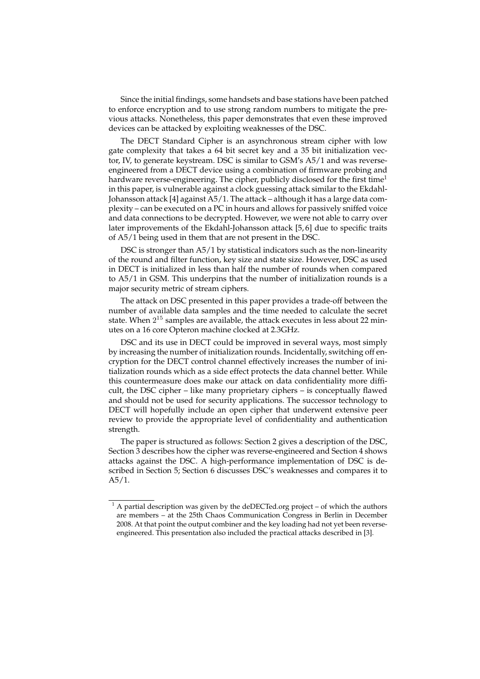Since the initial findings, some handsets and base stations have been patched to enforce encryption and to use strong random numbers to mitigate the previous attacks. Nonetheless, this paper demonstrates that even these improved devices can be attacked by exploiting weaknesses of the DSC.

The DECT Standard Cipher is an asynchronous stream cipher with low gate complexity that takes a 64 bit secret key and a 35 bit initialization vector, IV, to generate keystream. DSC is similar to GSM's A5/1 and was reverseengineered from a DECT device using a combination of firmware probing and hardware reverse-engineering. The cipher, publicly disclosed for the first time<sup>1</sup> in this paper, is vulnerable against a clock guessing attack similar to the Ekdahl-Johansson attack [4] against A5/1. The attack – although it has a large data complexity – can be executed on a PC in hours and allows for passively sniffed voice and data connections to be decrypted. However, we were not able to carry over later improvements of the Ekdahl-Johansson attack [5, 6] due to specific traits of A5/1 being used in them that are not present in the DSC.

DSC is stronger than A5/1 by statistical indicators such as the non-linearity of the round and filter function, key size and state size. However, DSC as used in DECT is initialized in less than half the number of rounds when compared to A5/1 in GSM. This underpins that the number of initialization rounds is a major security metric of stream ciphers.

The attack on DSC presented in this paper provides a trade-off between the number of available data samples and the time needed to calculate the secret state. When  $2^{15}$  samples are available, the attack executes in less about 22 minutes on a 16 core Opteron machine clocked at 2.3GHz.

DSC and its use in DECT could be improved in several ways, most simply by increasing the number of initialization rounds. Incidentally, switching off encryption for the DECT control channel effectively increases the number of initialization rounds which as a side effect protects the data channel better. While this countermeasure does make our attack on data confidentiality more difficult, the DSC cipher – like many proprietary ciphers – is conceptually flawed and should not be used for security applications. The successor technology to DECT will hopefully include an open cipher that underwent extensive peer review to provide the appropriate level of confidentiality and authentication strength.

The paper is structured as follows: Section 2 gives a description of the DSC, Section 3 describes how the cipher was reverse-engineered and Section 4 shows attacks against the DSC. A high-performance implementation of DSC is described in Section 5; Section 6 discusses DSC's weaknesses and compares it to  $A5/1.$ 

 $1$  A partial description was given by the deDECTed.org project – of which the authors are members – at the 25th Chaos Communication Congress in Berlin in December 2008. At that point the output combiner and the key loading had not yet been reverseengineered. This presentation also included the practical attacks described in [3].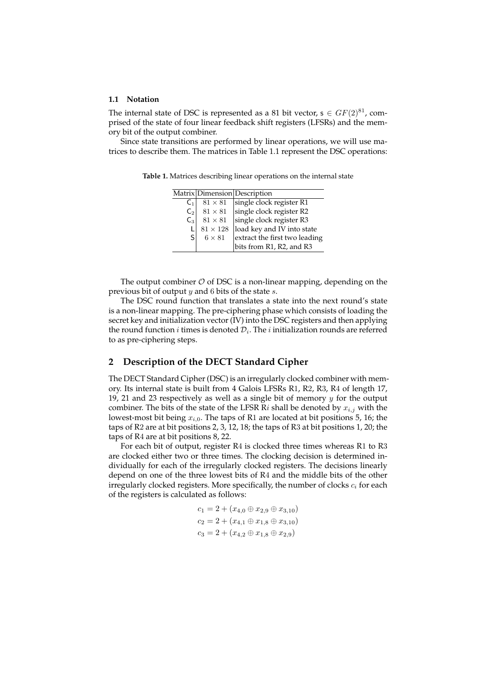#### **1.1 Notation**

The internal state of DSC is represented as a 81 bit vector,  $s \in GF(2)^{81}$ , comprised of the state of four linear feedback shift registers (LFSRs) and the memory bit of the output combiner.

Since state transitions are performed by linear operations, we will use matrices to describe them. The matrices in Table 1.1 represent the DSC operations:

**Table 1.** Matrices describing linear operations on the internal state

|                |                 | Matrix Dimension Description  |
|----------------|-----------------|-------------------------------|
| $C_1$          | $81 \times 81$  | single clock register R1      |
| $\mathsf{C}_2$ | $81 \times 81$  | single clock register R2      |
| $C_{3}$        | $81 \times 81$  | single clock register R3      |
|                | $81 \times 128$ | load key and IV into state    |
|                | $6 \times 81$   | extract the first two leading |
|                |                 | bits from R1, R2, and R3      |

The output combiner  $O$  of DSC is a non-linear mapping, depending on the previous bit of output  $y$  and 6 bits of the state  $s$ .

The DSC round function that translates a state into the next round's state is a non-linear mapping. The pre-ciphering phase which consists of loading the secret key and initialization vector (IV) into the DSC registers and then applying the round function  $i$  times is denoted  $\mathcal{D}_i.$  The  $i$  initialization rounds are referred to as pre-ciphering steps.

### **2 Description of the DECT Standard Cipher**

The DECT Standard Cipher (DSC) is an irregularly clocked combiner with memory. Its internal state is built from 4 Galois LFSRs R1, R2, R3, R4 of length 17, 19, 21 and 23 respectively as well as a single bit of memory  $y$  for the output combiner. The bits of the state of the LFSR Ri shall be denoted by  $x_{i,j}$  with the lowest-most bit being  $x_{i,0}$ . The taps of R1 are located at bit positions 5, 16; the taps of R2 are at bit positions 2, 3, 12, 18; the taps of R3 at bit positions 1, 20; the taps of R4 are at bit positions 8, 22.

For each bit of output, register R4 is clocked three times whereas R1 to R3 are clocked either two or three times. The clocking decision is determined individually for each of the irregularly clocked registers. The decisions linearly depend on one of the three lowest bits of R4 and the middle bits of the other irregularly clocked registers. More specifically, the number of clocks  $c_i$  for each of the registers is calculated as follows:

$$
c_1 = 2 + (x_{4,0} \oplus x_{2,9} \oplus x_{3,10})
$$
  
\n
$$
c_2 = 2 + (x_{4,1} \oplus x_{1,8} \oplus x_{3,10})
$$
  
\n
$$
c_3 = 2 + (x_{4,2} \oplus x_{1,8} \oplus x_{2,9})
$$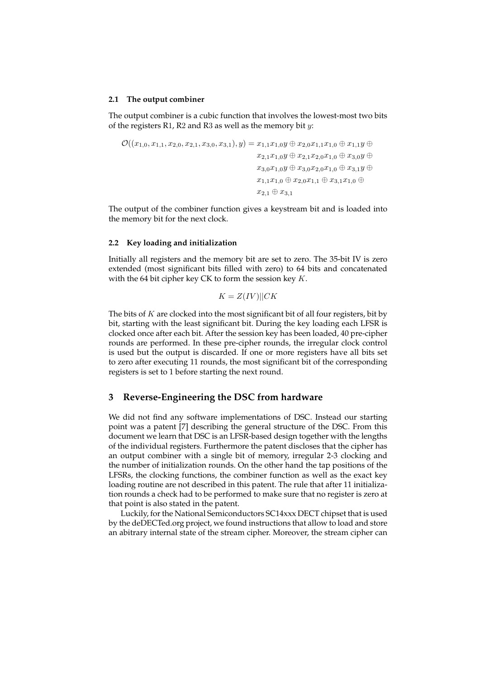#### **2.1 The output combiner**

The output combiner is a cubic function that involves the lowest-most two bits of the registers R1, R2 and R3 as well as the memory bit  $y$ :

$$
\begin{aligned} \mathcal{O}((x_{1,0},x_{1,1},x_{2,0},x_{2,1},x_{3,0},x_{3,1}),y)=x_{1,1}x_{1,0}y\oplus x_{2,0}x_{1,1}x_{1,0}\oplus x_{1,1}y\oplus\\ x_{2,1}x_{1,0}y\oplus x_{2,1}x_{2,0}x_{1,0}\oplus x_{3,0}y\oplus\\ x_{3,0}x_{1,0}y\oplus x_{3,0}x_{2,0}x_{1,0}\oplus x_{3,1}y\oplus\\ x_{1,1}x_{1,0}\oplus x_{2,0}x_{1,1}\oplus x_{3,1}x_{1,0}\oplus\\ x_{2,1}\oplus x_{3,1}\end{aligned}
$$

The output of the combiner function gives a keystream bit and is loaded into the memory bit for the next clock.

#### **2.2 Key loading and initialization**

Initially all registers and the memory bit are set to zero. The 35-bit IV is zero extended (most significant bits filled with zero) to 64 bits and concatenated with the 64 bit cipher key CK to form the session key  $K$ .

$$
K = Z(IV) || CK
$$

The bits of  $K$  are clocked into the most significant bit of all four registers, bit by bit, starting with the least significant bit. During the key loading each LFSR is clocked once after each bit. After the session key has been loaded, 40 pre-cipher rounds are performed. In these pre-cipher rounds, the irregular clock control is used but the output is discarded. If one or more registers have all bits set to zero after executing 11 rounds, the most significant bit of the corresponding registers is set to 1 before starting the next round.

### **3 Reverse-Engineering the DSC from hardware**

We did not find any software implementations of DSC. Instead our starting point was a patent [7] describing the general structure of the DSC. From this document we learn that DSC is an LFSR-based design together with the lengths of the individual registers. Furthermore the patent discloses that the cipher has an output combiner with a single bit of memory, irregular 2-3 clocking and the number of initialization rounds. On the other hand the tap positions of the LFSRs, the clocking functions, the combiner function as well as the exact key loading routine are not described in this patent. The rule that after 11 initialization rounds a check had to be performed to make sure that no register is zero at that point is also stated in the patent.

Luckily, for the National Semiconductors SC14xxx DECT chipset that is used by the deDECTed.org project, we found instructions that allow to load and store an abitrary internal state of the stream cipher. Moreover, the stream cipher can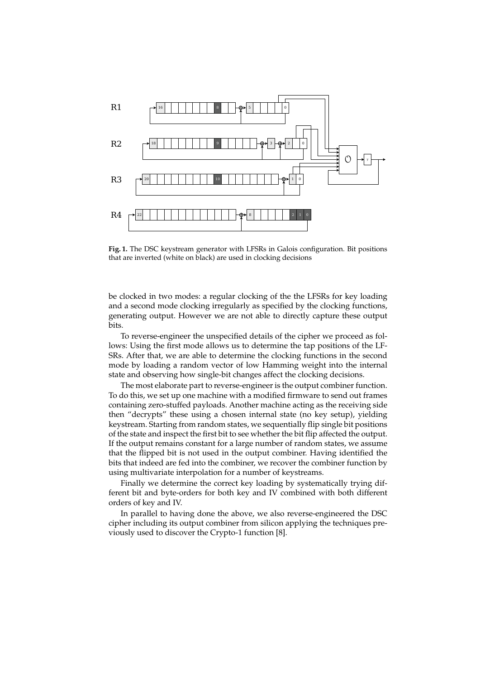

**Fig. 1.** The DSC keystream generator with LFSRs in Galois configuration. Bit positions that are inverted (white on black) are used in clocking decisions

be clocked in two modes: a regular clocking of the the LFSRs for key loading and a second mode clocking irregularly as specified by the clocking functions, generating output. However we are not able to directly capture these output bits.

To reverse-engineer the unspecified details of the cipher we proceed as follows: Using the first mode allows us to determine the tap positions of the LF-SRs. After that, we are able to determine the clocking functions in the second mode by loading a random vector of low Hamming weight into the internal state and observing how single-bit changes affect the clocking decisions.

The most elaborate part to reverse-engineer is the output combiner function. To do this, we set up one machine with a modified firmware to send out frames containing zero-stuffed payloads. Another machine acting as the receiving side then "decrypts" these using a chosen internal state (no key setup), yielding keystream. Starting from random states, we sequentially flip single bit positions of the state and inspect the first bit to see whether the bit flip affected the output. If the output remains constant for a large number of random states, we assume that the flipped bit is not used in the output combiner. Having identified the bits that indeed are fed into the combiner, we recover the combiner function by using multivariate interpolation for a number of keystreams.

Finally we determine the correct key loading by systematically trying different bit and byte-orders for both key and IV combined with both different orders of key and IV.

In parallel to having done the above, we also reverse-engineered the DSC cipher including its output combiner from silicon applying the techniques previously used to discover the Crypto-1 function [8].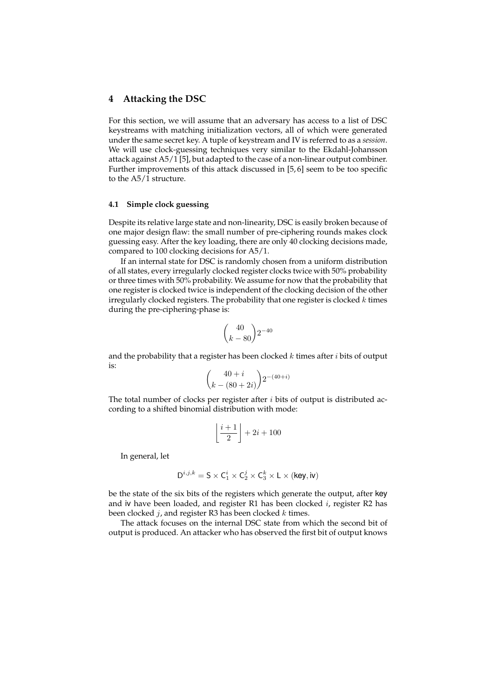### **4 Attacking the DSC**

For this section, we will assume that an adversary has access to a list of DSC keystreams with matching initialization vectors, all of which were generated under the same secret key. A tuple of keystream and IV is referred to as a *session*. We will use clock-guessing techniques very similar to the Ekdahl-Johansson attack against A5/1 [5], but adapted to the case of a non-linear output combiner. Further improvements of this attack discussed in [5, 6] seem to be too specific to the A5/1 structure.

#### **4.1 Simple clock guessing**

Despite its relative large state and non-linearity, DSC is easily broken because of one major design flaw: the small number of pre-ciphering rounds makes clock guessing easy. After the key loading, there are only 40 clocking decisions made, compared to 100 clocking decisions for A5/1.

If an internal state for DSC is randomly chosen from a uniform distribution of all states, every irregularly clocked register clocks twice with 50% probability or three times with 50% probability. We assume for now that the probability that one register is clocked twice is independent of the clocking decision of the other irregularly clocked registers. The probability that one register is clocked  $k$  times during the pre-ciphering-phase is:

$$
\binom{40}{k-80} 2^{-40}
$$

and the probability that a register has been clocked  $k$  times after  $i$  bits of output is:

$$
\binom{40+i}{k-(80+2i)} 2^{-(40+i)}
$$

The total number of clocks per register after  $i$  bits of output is distributed according to a shifted binomial distribution with mode:

$$
\left\lfloor \frac{i+1}{2} \right\rfloor + 2i + 100
$$

In general, let

$$
\mathsf{D}^{i,j,k}=\mathsf{S}\times \mathsf{C}^i_1\times \mathsf{C}^j_2\times \mathsf{C}^k_3\times \mathsf{L}\times (\mathsf{key},\mathsf{iv})
$$

be the state of the six bits of the registers which generate the output, after key and iv have been loaded, and register R1 has been clocked  $i$ , register R2 has been clocked  $j$ , and register R3 has been clocked  $k$  times.

The attack focuses on the internal DSC state from which the second bit of output is produced. An attacker who has observed the first bit of output knows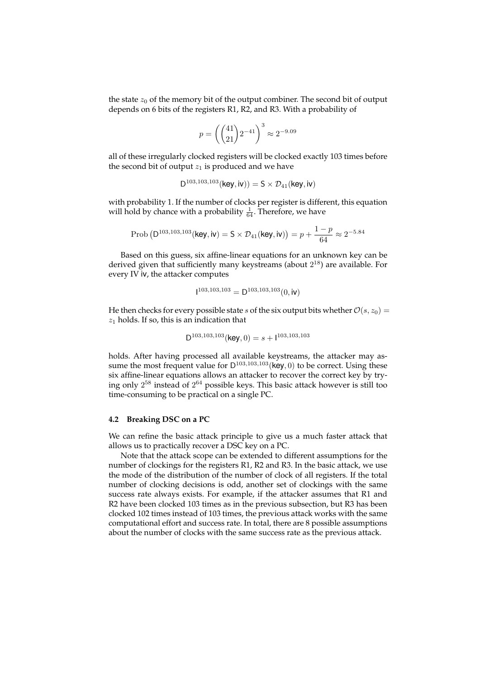the state  $z_0$  of the memory bit of the output combiner. The second bit of output depends on 6 bits of the registers R1, R2, and R3. With a probability of

$$
p = \left( \binom{41}{21} 2^{-41} \right)^3 \approx 2^{-9.09}
$$

all of these irregularly clocked registers will be clocked exactly 103 times before the second bit of output  $z_1$  is produced and we have

$$
D^{103,103,103}(key,iv)) = S \times \mathcal{D}_{41}(key,iv)
$$

with probability 1. If the number of clocks per register is different, this equation will hold by chance with a probability  $\frac{1}{64}$ . Therefore, we have

Prob (D<sup>103,103,103</sup>(**key**, **iv**) = S × D<sub>41</sub>(**key**, **iv**)) = 
$$
p + \frac{1-p}{64} \approx 2^{-5.84}
$$

Based on this guess, six affine-linear equations for an unknown key can be derived given that sufficiently many keystreams (about  $2^{18}$ ) are available. For every IV iv, the attacker computes

$$
I^{103,103,103} = D^{103,103,103}(0,iv)
$$

He then checks for every possible state s of the six output bits whether  $\mathcal{O}(s, z_0) =$  $z_1$  holds. If so, this is an indication that

$$
D^{103,103,103}(\text{key},0) = s + 1^{103,103,103}
$$

holds. After having processed all available keystreams, the attacker may assume the most frequent value for  $D^{103,103,103}$  (key, 0) to be correct. Using these six affine-linear equations allows an attacker to recover the correct key by trying only  $2^{58}$  instead of  $2^{64}$  possible keys. This basic attack however is still too time-consuming to be practical on a single PC.

#### **4.2 Breaking DSC on a PC**

We can refine the basic attack principle to give us a much faster attack that allows us to practically recover a DSC key on a PC.

Note that the attack scope can be extended to different assumptions for the number of clockings for the registers R1, R2 and R3. In the basic attack, we use the mode of the distribution of the number of clock of all registers. If the total number of clocking decisions is odd, another set of clockings with the same success rate always exists. For example, if the attacker assumes that R1 and R2 have been clocked 103 times as in the previous subsection, but R3 has been clocked 102 times instead of 103 times, the previous attack works with the same computational effort and success rate. In total, there are 8 possible assumptions about the number of clocks with the same success rate as the previous attack.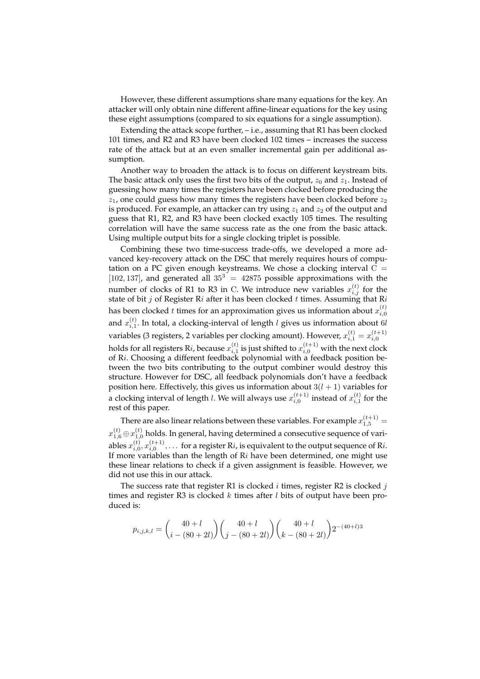However, these different assumptions share many equations for the key. An attacker will only obtain nine different affine-linear equations for the key using these eight assumptions (compared to six equations for a single assumption).

Extending the attack scope further, – i.e., assuming that R1 has been clocked 101 times, and R2 and R3 have been clocked 102 times – increases the success rate of the attack but at an even smaller incremental gain per additional assumption.

Another way to broaden the attack is to focus on different keystream bits. The basic attack only uses the first two bits of the output,  $z_0$  and  $z_1$ . Instead of guessing how many times the registers have been clocked before producing the  $z_1$ , one could guess how many times the registers have been clocked before  $z_2$ is produced. For example, an attacker can try using  $z_1$  and  $z_2$  of the output and guess that R1, R2, and R3 have been clocked exactly 105 times. The resulting correlation will have the same success rate as the one from the basic attack. Using multiple output bits for a single clocking triplet is possible.

Combining these two time-success trade-offs, we developed a more advanced key-recovery attack on the DSC that merely requires hours of computation on a PC given enough keystreams. We chose a clocking interval  $C =$ [102, 137], and generated all  $35^3 = 42875$  possible approximations with the number of clocks of R1 to R3 in C. We introduce new variables  $x_{i,j}^{(t)}$  for the state of bit j of Register Ri after it has been clocked t times. Assuming that Ri has been clocked  $t$  times for an approximation gives us information about  $x_{i,0}^{(t)}$ and  $x_{i,1}^{(t)}.$  In total, a clocking-interval of length  $l$  gives us information about  $6l$ variables (3 registers, 2 variables per clocking amount). However,  $x_{i,1}^{(t)} = x_{i,0}^{(t+1)}$ holds for all registers R $i$ , because  $x_{i,1}^{(t)}$  is just shifted to  $x_{i,0}^{(t+1)}$  with the next clock of Ri. Choosing a different feedback polynomial with a feedback position between the two bits contributing to the output combiner would destroy this structure. However for DSC, all feedback polynomials don't have a feedback position here. Effectively, this gives us information about  $3(l + 1)$  variables for a clocking interval of length  $l$ . We will always use  $x_{i,0}^{(t+1)}$  instead of  $x_{i,1}^{(t)}$  for the rest of this paper.

There are also linear relations between these variables. For example  $x_{1,5}^{(t+1)}$  =  $x_{1,6}^{(t)} \oplus x_{1,0}^{(t)}$  holds. In general, having determined a consecutive sequence of variables  $x_{i,0}^{(t)},x_{i,0}^{(t+1)},\ldots$  for a register R $i$ , is equivalent to the output sequence of R $i$ . If more variables than the length of Ri have been determined, one might use these linear relations to check if a given assignment is feasible. However, we did not use this in our attack.

The success rate that register R1 is clocked  $i$  times, register R2 is clocked  $j$ times and register R3 is clocked  $k$  times after  $l$  bits of output have been produced is:

$$
p_{i,j,k,l} = {40+l \choose i-(80+2l)} {40+l \choose j-(80+2l)} {40+l \choose k-(80+2l)} 2^{-(40+l)3}
$$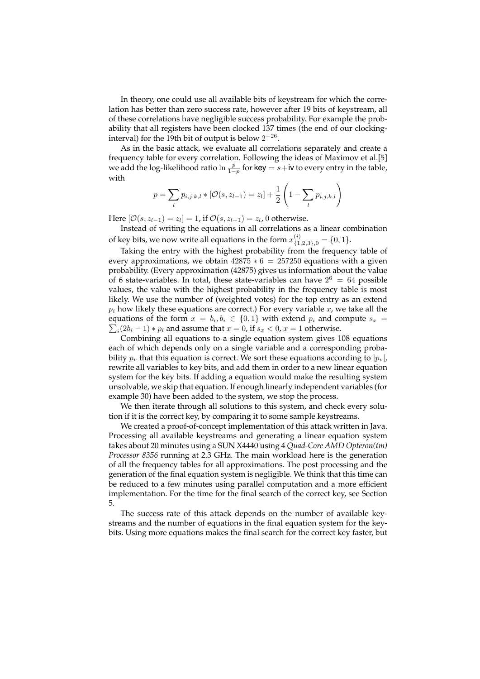In theory, one could use all available bits of keystream for which the correlation has better than zero success rate, however after 19 bits of keystream, all of these correlations have negligible success probability. For example the probability that all registers have been clocked 137 times (the end of our clockinginterval) for the 19th bit of output is below  $2^{-26}$ .

As in the basic attack, we evaluate all correlations separately and create a frequency table for every correlation. Following the ideas of Maximov et al.[5] we add the log-likelihood ratio  $\ln \frac{p}{1-p}$  for key =  $s+$ iv to every entry in the table, with

$$
p = \sum_{l} p_{i,j,k,l} * [\mathcal{O}(s, z_{l-1}) = z_l] + \frac{1}{2} \left( 1 - \sum_{l} p_{i,j,k,l} \right)
$$

Here  $[O(s, z_{l-1}) = z_l] = 1$ , if  $O(s, z_{l-1}) = z_l$ , 0 otherwise.

Instead of writing the equations in all correlations as a linear combination of key bits, we now write all equations in the form  $x_{\{1,2,3\},0}^{(i)} = \{0,1\}.$ 

Taking the entry with the highest probability from the frequency table of every approximations, we obtain  $42875 * 6 = 257250$  equations with a given probability. (Every approximation (42875) gives us information about the value of 6 state-variables. In total, these state-variables can have  $2^6 = 64$  possible values, the value with the highest probability in the frequency table is most likely. We use the number of (weighted votes) for the top entry as an extend  $p_i$  how likely these equations are correct.) For every variable x, we take all the equations of the form  $x = b_i, b_i \in \{0,1\}$  with extend  $p_i$  and compute  $s_x$  $\sum_i (2b_i - 1) * p_i$  and assume that  $x = 0$ , if  $s_x < 0$ ,  $x = 1$  otherwise.

Combining all equations to a single equation system gives 108 equations each of which depends only on a single variable and a corresponding probability  $p_v$  that this equation is correct. We sort these equations according to  $|p_v|$ , rewrite all variables to key bits, and add them in order to a new linear equation system for the key bits. If adding a equation would make the resulting system unsolvable, we skip that equation. If enough linearly independent variables (for example 30) have been added to the system, we stop the process.

We then iterate through all solutions to this system, and check every solution if it is the correct key, by comparing it to some sample keystreams.

We created a proof-of-concept implementation of this attack written in Java. Processing all available keystreams and generating a linear equation system takes about 20 minutes using a SUN X4440 using 4 *Quad-Core AMD Opteron(tm) Processor 8356* running at 2.3 GHz. The main workload here is the generation of all the frequency tables for all approximations. The post processing and the generation of the final equation system is negligible. We think that this time can be reduced to a few minutes using parallel computation and a more efficient implementation. For the time for the final search of the correct key, see Section 5.

The success rate of this attack depends on the number of available keystreams and the number of equations in the final equation system for the keybits. Using more equations makes the final search for the correct key faster, but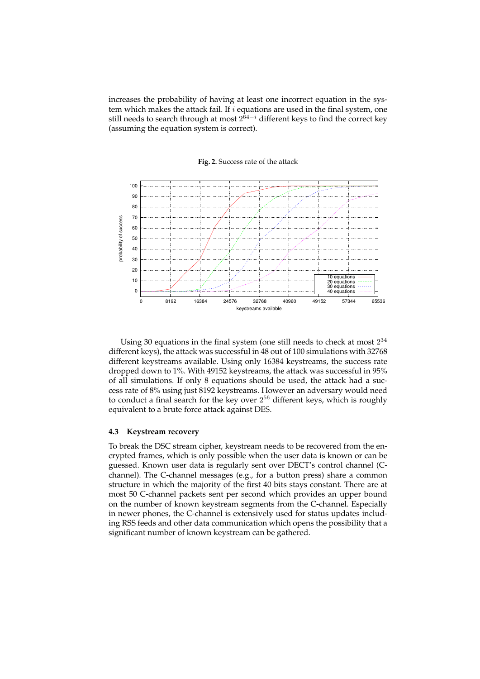increases the probability of having at least one incorrect equation in the system which makes the attack fail. If  $i$  equations are used in the final system, one still needs to search through at most  $2^{\bar 64-i}$  different keys to find the correct key (assuming the equation system is correct).



**Fig. 2.** Success rate of the attack

Using 30 equations in the final system (one still needs to check at most  $2^{34}$ different keys), the attack was successful in 48 out of 100 simulations with 32768 different keystreams available. Using only 16384 keystreams, the success rate dropped down to 1%. With 49152 keystreams, the attack was successful in 95% of all simulations. If only 8 equations should be used, the attack had a success rate of 8% using just 8192 keystreams. However an adversary would need to conduct a final search for the key over  $2^{56}$  different keys, which is roughly equivalent to a brute force attack against DES.

#### **4.3 Keystream recovery**

To break the DSC stream cipher, keystream needs to be recovered from the encrypted frames, which is only possible when the user data is known or can be guessed. Known user data is regularly sent over DECT's control channel (Cchannel). The C-channel messages (e.g., for a button press) share a common structure in which the majority of the first 40 bits stays constant. There are at most 50 C-channel packets sent per second which provides an upper bound on the number of known keystream segments from the C-channel. Especially in newer phones, the C-channel is extensively used for status updates including RSS feeds and other data communication which opens the possibility that a significant number of known keystream can be gathered.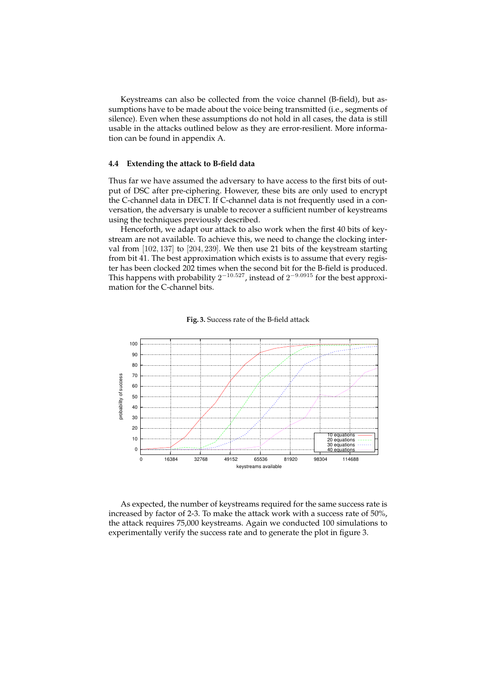Keystreams can also be collected from the voice channel (B-field), but assumptions have to be made about the voice being transmitted (i.e., segments of silence). Even when these assumptions do not hold in all cases, the data is still usable in the attacks outlined below as they are error-resilient. More information can be found in appendix A.

### **4.4 Extending the attack to B-field data**

Thus far we have assumed the adversary to have access to the first bits of output of DSC after pre-ciphering. However, these bits are only used to encrypt the C-channel data in DECT. If C-channel data is not frequently used in a conversation, the adversary is unable to recover a sufficient number of keystreams using the techniques previously described.

Henceforth, we adapt our attack to also work when the first 40 bits of keystream are not available. To achieve this, we need to change the clocking interval from [102, 137] to [204, 239]. We then use 21 bits of the keystream starting from bit 41. The best approximation which exists is to assume that every register has been clocked 202 times when the second bit for the B-field is produced. This happens with probability  $2^{-10.527}$ , instead of  $2^{-9.0915}$  for the best approximation for the C-channel bits.



**Fig. 3.** Success rate of the B-field attack

As expected, the number of keystreams required for the same success rate is increased by factor of 2-3. To make the attack work with a success rate of 50%, the attack requires 75,000 keystreams. Again we conducted 100 simulations to experimentally verify the success rate and to generate the plot in figure 3.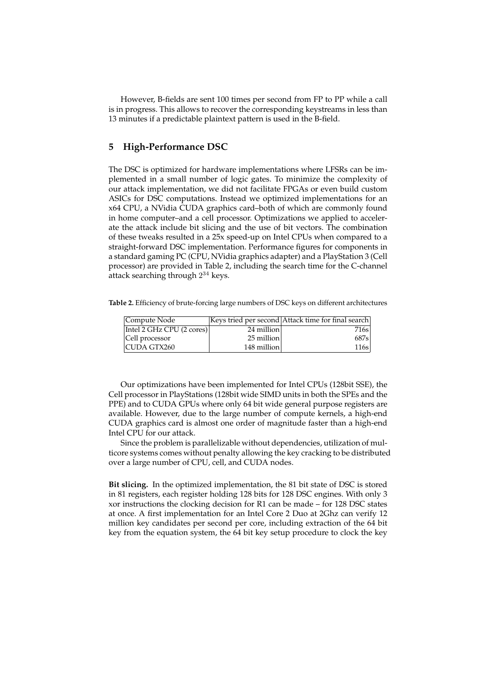However, B-fields are sent 100 times per second from FP to PP while a call is in progress. This allows to recover the corresponding keystreams in less than 13 minutes if a predictable plaintext pattern is used in the B-field.

### **5 High-Performance DSC**

The DSC is optimized for hardware implementations where LFSRs can be implemented in a small number of logic gates. To minimize the complexity of our attack implementation, we did not facilitate FPGAs or even build custom ASICs for DSC computations. Instead we optimized implementations for an x64 CPU, a NVidia CUDA graphics card–both of which are commonly found in home computer–and a cell processor. Optimizations we applied to accelerate the attack include bit slicing and the use of bit vectors. The combination of these tweaks resulted in a 25x speed-up on Intel CPUs when compared to a straight-forward DSC implementation. Performance figures for components in a standard gaming PC (CPU, NVidia graphics adapter) and a PlayStation 3 (Cell processor) are provided in Table 2, including the search time for the C-channel attack searching through  $2^{34}$  keys.

**Table 2.** Efficiency of brute-forcing large numbers of DSC keys on different architectures

| Compute Node              |             | Keys tried per second Attack time for final search |
|---------------------------|-------------|----------------------------------------------------|
| Intel 2 GHz CPU (2 cores) | 24 million  | 716s                                               |
| Cell processor            | 25 million  | 687sl                                              |
| ICUDA GTX260              | 148 million | 116s                                               |

Our optimizations have been implemented for Intel CPUs (128bit SSE), the Cell processor in PlayStations (128bit wide SIMD units in both the SPEs and the PPE) and to CUDA GPUs where only 64 bit wide general purpose registers are available. However, due to the large number of compute kernels, a high-end CUDA graphics card is almost one order of magnitude faster than a high-end Intel CPU for our attack.

Since the problem is parallelizable without dependencies, utilization of multicore systems comes without penalty allowing the key cracking to be distributed over a large number of CPU, cell, and CUDA nodes.

**Bit slicing.** In the optimized implementation, the 81 bit state of DSC is stored in 81 registers, each register holding 128 bits for 128 DSC engines. With only 3 xor instructions the clocking decision for R1 can be made – for 128 DSC states at once. A first implementation for an Intel Core 2 Duo at 2Ghz can verify 12 million key candidates per second per core, including extraction of the 64 bit key from the equation system, the 64 bit key setup procedure to clock the key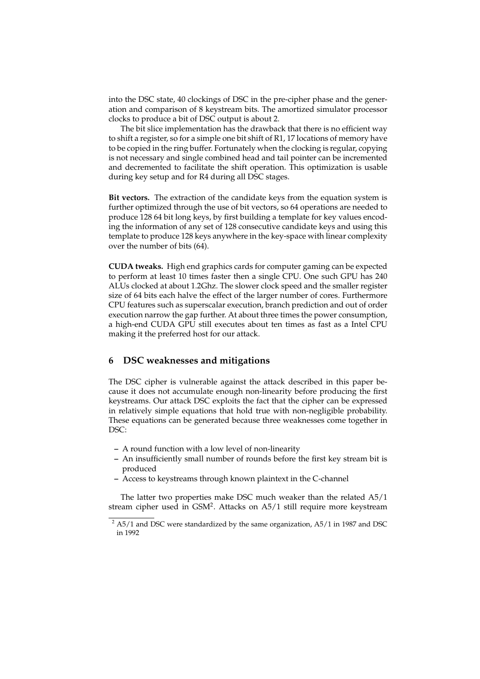into the DSC state, 40 clockings of DSC in the pre-cipher phase and the generation and comparison of 8 keystream bits. The amortized simulator processor clocks to produce a bit of DSC output is about 2.

The bit slice implementation has the drawback that there is no efficient way to shift a register, so for a simple one bit shift of R1, 17 locations of memory have to be copied in the ring buffer. Fortunately when the clocking is regular, copying is not necessary and single combined head and tail pointer can be incremented and decremented to facilitate the shift operation. This optimization is usable during key setup and for R4 during all DSC stages.

**Bit vectors.** The extraction of the candidate keys from the equation system is further optimized through the use of bit vectors, so 64 operations are needed to produce 128 64 bit long keys, by first building a template for key values encoding the information of any set of 128 consecutive candidate keys and using this template to produce 128 keys anywhere in the key-space with linear complexity over the number of bits (64).

**CUDA tweaks.** High end graphics cards for computer gaming can be expected to perform at least 10 times faster then a single CPU. One such GPU has 240 ALUs clocked at about 1.2Ghz. The slower clock speed and the smaller register size of 64 bits each halve the effect of the larger number of cores. Furthermore CPU features such as superscalar execution, branch prediction and out of order execution narrow the gap further. At about three times the power consumption, a high-end CUDA GPU still executes about ten times as fast as a Intel CPU making it the preferred host for our attack.

### **6 DSC weaknesses and mitigations**

The DSC cipher is vulnerable against the attack described in this paper because it does not accumulate enough non-linearity before producing the first keystreams. Our attack DSC exploits the fact that the cipher can be expressed in relatively simple equations that hold true with non-negligible probability. These equations can be generated because three weaknesses come together in DSC:

- **–** A round function with a low level of non-linearity
- **–** An insufficiently small number of rounds before the first key stream bit is produced
- **–** Access to keystreams through known plaintext in the C-channel

The latter two properties make DSC much weaker than the related A5/1 stream cipher used in GSM<sup>2</sup>. Attacks on A5/1 still require more keystream

 $2$  A5/1 and DSC were standardized by the same organization, A5/1 in 1987 and DSC in 1992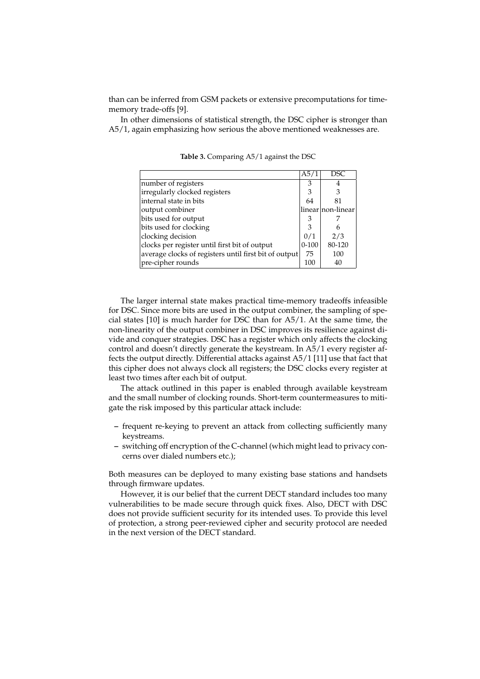than can be inferred from GSM packets or extensive precomputations for timememory trade-offs [9].

In other dimensions of statistical strength, the DSC cipher is stronger than A5/1, again emphasizing how serious the above mentioned weaknesses are.

|                                                       | A5/1 | DSC               |
|-------------------------------------------------------|------|-------------------|
| number of registers                                   |      |                   |
| irregularly clocked registers                         |      | 3                 |
| internal state in bits                                |      | 81                |
| output combiner                                       |      | linear non-linear |
| bits used for output                                  |      |                   |
| bits used for clocking                                |      | 6                 |
| clocking decision                                     |      | 2/3               |
| clocks per register until first bit of output         |      | 80-120            |
| average clocks of registers until first bit of output |      | 100               |
| pre-cipher rounds                                     |      | 40                |

**Table 3.** Comparing A5/1 against the DSC

The larger internal state makes practical time-memory tradeoffs infeasible for DSC. Since more bits are used in the output combiner, the sampling of special states [10] is much harder for DSC than for A5/1. At the same time, the non-linearity of the output combiner in DSC improves its resilience against divide and conquer strategies. DSC has a register which only affects the clocking control and doesn't directly generate the keystream. In A5/1 every register affects the output directly. Differential attacks against A5/1 [11] use that fact that this cipher does not always clock all registers; the DSC clocks every register at least two times after each bit of output.

The attack outlined in this paper is enabled through available keystream and the small number of clocking rounds. Short-term countermeasures to mitigate the risk imposed by this particular attack include:

- **–** frequent re-keying to prevent an attack from collecting sufficiently many keystreams.
- **–** switching off encryption of the C-channel (which might lead to privacy concerns over dialed numbers etc.);

Both measures can be deployed to many existing base stations and handsets through firmware updates.

However, it is our belief that the current DECT standard includes too many vulnerabilities to be made secure through quick fixes. Also, DECT with DSC does not provide sufficient security for its intended uses. To provide this level of protection, a strong peer-reviewed cipher and security protocol are needed in the next version of the DECT standard.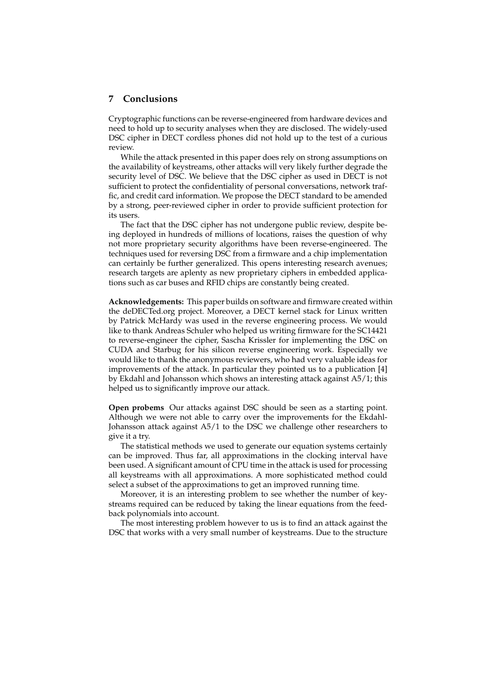### **7 Conclusions**

Cryptographic functions can be reverse-engineered from hardware devices and need to hold up to security analyses when they are disclosed. The widely-used DSC cipher in DECT cordless phones did not hold up to the test of a curious review.

While the attack presented in this paper does rely on strong assumptions on the availability of keystreams, other attacks will very likely further degrade the security level of DSC. We believe that the DSC cipher as used in DECT is not sufficient to protect the confidentiality of personal conversations, network traffic, and credit card information. We propose the DECT standard to be amended by a strong, peer-reviewed cipher in order to provide sufficient protection for its users.

The fact that the DSC cipher has not undergone public review, despite being deployed in hundreds of millions of locations, raises the question of why not more proprietary security algorithms have been reverse-engineered. The techniques used for reversing DSC from a firmware and a chip implementation can certainly be further generalized. This opens interesting research avenues; research targets are aplenty as new proprietary ciphers in embedded applications such as car buses and RFID chips are constantly being created.

**Acknowledgements:** This paper builds on software and firmware created within the deDECTed.org project. Moreover, a DECT kernel stack for Linux written by Patrick McHardy was used in the reverse engineering process. We would like to thank Andreas Schuler who helped us writing firmware for the SC14421 to reverse-engineer the cipher, Sascha Krissler for implementing the DSC on CUDA and Starbug for his silicon reverse engineering work. Especially we would like to thank the anonymous reviewers, who had very valuable ideas for improvements of the attack. In particular they pointed us to a publication [4] by Ekdahl and Johansson which shows an interesting attack against A5/1; this helped us to significantly improve our attack.

**Open probems** Our attacks against DSC should be seen as a starting point. Although we were not able to carry over the improvements for the Ekdahl-Johansson attack against A5/1 to the DSC we challenge other researchers to give it a try.

The statistical methods we used to generate our equation systems certainly can be improved. Thus far, all approximations in the clocking interval have been used. A significant amount of CPU time in the attack is used for processing all keystreams with all approximations. A more sophisticated method could select a subset of the approximations to get an improved running time.

Moreover, it is an interesting problem to see whether the number of keystreams required can be reduced by taking the linear equations from the feedback polynomials into account.

The most interesting problem however to us is to find an attack against the DSC that works with a very small number of keystreams. Due to the structure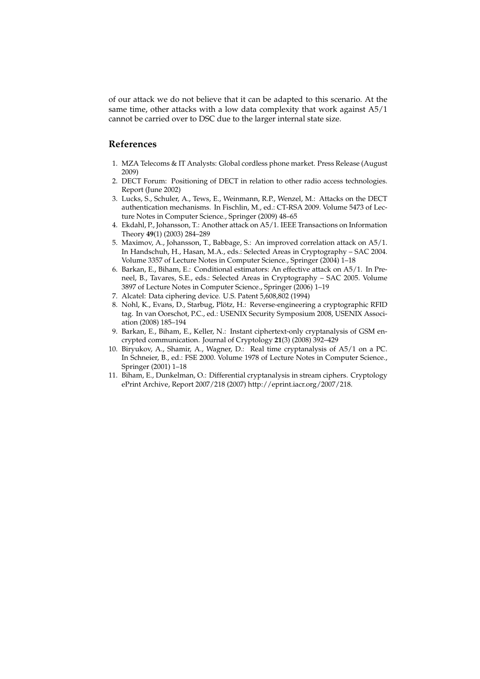of our attack we do not believe that it can be adapted to this scenario. At the same time, other attacks with a low data complexity that work against A5/1 cannot be carried over to DSC due to the larger internal state size.

### **References**

- 1. MZA Telecoms & IT Analysts: Global cordless phone market. Press Release (August 2009)
- 2. DECT Forum: Positioning of DECT in relation to other radio access technologies. Report (June 2002)
- 3. Lucks, S., Schuler, A., Tews, E., Weinmann, R.P., Wenzel, M.: Attacks on the DECT authentication mechanisms. In Fischlin, M., ed.: CT-RSA 2009. Volume 5473 of Lecture Notes in Computer Science., Springer (2009) 48–65
- 4. Ekdahl, P., Johansson, T.: Another attack on A5/1. IEEE Transactions on Information Theory **49**(1) (2003) 284–289
- 5. Maximov, A., Johansson, T., Babbage, S.: An improved correlation attack on A5/1. In Handschuh, H., Hasan, M.A., eds.: Selected Areas in Cryptography – SAC 2004. Volume 3357 of Lecture Notes in Computer Science., Springer (2004) 1–18
- 6. Barkan, E., Biham, E.: Conditional estimators: An effective attack on A5/1. In Preneel, B., Tavares, S.E., eds.: Selected Areas in Cryptography – SAC 2005. Volume 3897 of Lecture Notes in Computer Science., Springer (2006) 1–19
- 7. Alcatel: Data ciphering device. U.S. Patent 5,608,802 (1994)
- 8. Nohl, K., Evans, D., Starbug, Plötz, H.: Reverse-engineering a cryptographic RFID tag. In van Oorschot, P.C., ed.: USENIX Security Symposium 2008, USENIX Association (2008) 185–194
- 9. Barkan, E., Biham, E., Keller, N.: Instant ciphertext-only cryptanalysis of GSM encrypted communication. Journal of Cryptology **21**(3) (2008) 392–429
- 10. Biryukov, A., Shamir, A., Wagner, D.: Real time cryptanalysis of A5/1 on a PC. In Schneier, B., ed.: FSE 2000. Volume 1978 of Lecture Notes in Computer Science., Springer (2001) 1–18
- 11. Biham, E., Dunkelman, O.: Differential cryptanalysis in stream ciphers. Cryptology ePrint Archive, Report 2007/218 (2007) http://eprint.iacr.org/2007/218.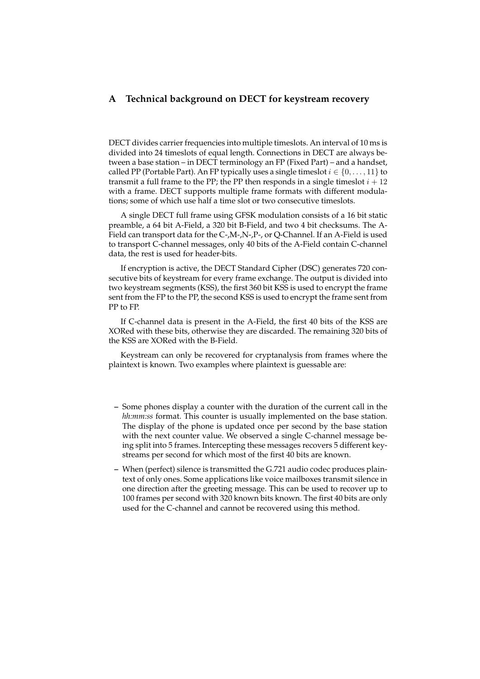# **A Technical background on DECT for keystream recovery**

DECT divides carrier frequencies into multiple timeslots. An interval of 10 ms is divided into 24 timeslots of equal length. Connections in DECT are always between a base station – in DECT terminology an FP (Fixed Part) – and a handset, called PP (Portable Part). An FP typically uses a single timeslot  $i \in \{0, \ldots, 11\}$  to transmit a full frame to the PP; the PP then responds in a single times ot  $i + 12$ with a frame. DECT supports multiple frame formats with different modulations; some of which use half a time slot or two consecutive timeslots.

A single DECT full frame using GFSK modulation consists of a 16 bit static preamble, a 64 bit A-Field, a 320 bit B-Field, and two 4 bit checksums. The A-Field can transport data for the C-,M-,N-,P-, or Q-Channel. If an A-Field is used to transport C-channel messages, only 40 bits of the A-Field contain C-channel data, the rest is used for header-bits.

If encryption is active, the DECT Standard Cipher (DSC) generates 720 consecutive bits of keystream for every frame exchange. The output is divided into two keystream segments (KSS), the first 360 bit KSS is used to encrypt the frame sent from the FP to the PP, the second KSS is used to encrypt the frame sent from PP to FP.

If C-channel data is present in the A-Field, the first 40 bits of the KSS are XORed with these bits, otherwise they are discarded. The remaining 320 bits of the KSS are XORed with the B-Field.

Keystream can only be recovered for cryptanalysis from frames where the plaintext is known. Two examples where plaintext is guessable are:

- **–** Some phones display a counter with the duration of the current call in the *hh:mm:ss* format. This counter is usually implemented on the base station. The display of the phone is updated once per second by the base station with the next counter value. We observed a single C-channel message being split into 5 frames. Intercepting these messages recovers 5 different keystreams per second for which most of the first 40 bits are known.
- **–** When (perfect) silence is transmitted the G.721 audio codec produces plaintext of only ones. Some applications like voice mailboxes transmit silence in one direction after the greeting message. This can be used to recover up to 100 frames per second with 320 known bits known. The first 40 bits are only used for the C-channel and cannot be recovered using this method.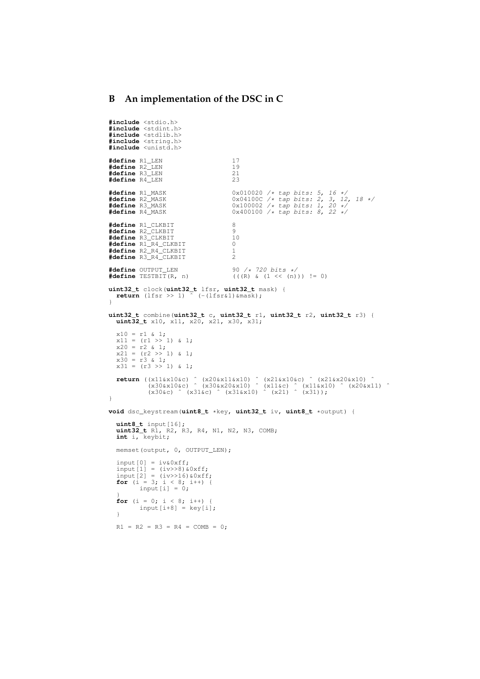## **B An implementation of the DSC in C**

```
#include <stdio.h>
#include <stdint.h>
#include <stdlib.h>
#include <string.h>
#include <unistd.h>
#define R1_LEN 17<br>#define R2_LEN 19
#define R2_LEN 19
#define R3_LEN 21
#define R4_LEN 23
#define R1_MASK 0x010020 /* tap bits: 5, 16 */<br>
#define R2_MASK 0x04100C /* tap bits: 2, 3, 12, 18 */<br>
#define R4_MASK 0x400100 /* tap bits: 8, 22 */
#define R1_CLKBIT 8
#define R2_CLKBIT 9
#define R3_CLKBIT 10
#define R1_R4_CLKBIT 0
#define R2<sup>_R4</sup><sup>_CLKBIT</sup> 1<br>#define R3 R4 CLKBIT
#define R3_R4_CLKBIT 2
#define OUTPUT_LEN 90 /* 720 bits */
#define TESTBIT(R, n) (((R) & (1 << (n))) != 0)
uint32_t clock(uint32_t lfsr, uint32_t mask) {<br>
return (lfsr >> 1) ^ (-(lfsr&1)&mask);<br>
}
uint32_t combine(uint32_t c, uint32_t r1, uint32_t r2, uint32_t r3) {
  uint32_t x10, x11, x20, x21, x30, x31;
  x10 = r1 & 1;
   x11 = (r1 >> 1) & 1;
x20 = r2 & 1;
x21 = (r2 >> 1) & 1;
   x30 = r3 & 1;
x31 = (r3 >> 1) & 1;
   return ((x11&x10&c) ˆ (x20&x11&x10) ˆ (x21&x10&c) ˆ (x21&x20&x10) ˆ (x30&x10&c) ˆ (x30&c) ˆ (x31&c) ˆ (x31) ˆ (x31));
}
void dsc_keystream(uint8_t *key, uint32_t iv, uint8_t *output) {
   uint8_t input[16];
uint32_t R1, R2, R3, R4, N1, N2, N3, COMB;
int i, keybit;
  memset(output, 0, OUTPUT_LEN);
   input[0] = iv&0xff;<br>
input[1] = (iv>>8)&0xff;<br>
input[2] = (iv>>16)&0xff;<br>
for (i = 3; i < 8; i++) {<br>
input[i] = 0;<br>
}
   for (i = 0; i < 8; i++) {<br>
input[i+8] = key[i];}
  R1 = R2 = R3 = R4 = COMB = 0;
```